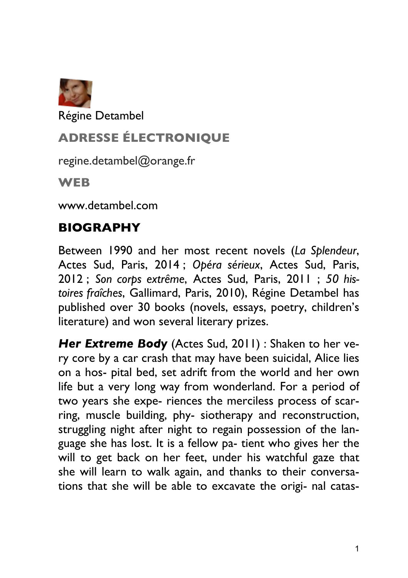

Régine Detambel

# **ADRESSE ÉLECTRONIQUE**

regine.detambel@orange.fr

**WEB**

www.detambel.com

## **BIOGRAPHY**

Between 1990 and her most recent novels (*La Splendeur*, Actes Sud, Paris, 2014 ; *Opéra sérieux*, Actes Sud, Paris, 2012 ; *Son corps extrême*, Actes Sud, Paris, 2011 ; *50 histoires fraîches*, Gallimard, Paris, 2010), Régine Detambel has published over 30 books (novels, essays, poetry, children's literature) and won several literary prizes.

*Her Extreme Body* (Actes Sud, 2011) : Shaken to her very core by a car crash that may have been suicidal, Alice lies on a hos- pital bed, set adrift from the world and her own life but a very long way from wonderland. For a period of two years she expe- riences the merciless process of scarring, muscle building, phy- siotherapy and reconstruction, struggling night after night to regain possession of the language she has lost. It is a fellow pa- tient who gives her the will to get back on her feet, under his watchful gaze that she will learn to walk again, and thanks to their conversations that she will be able to excavate the origi- nal catas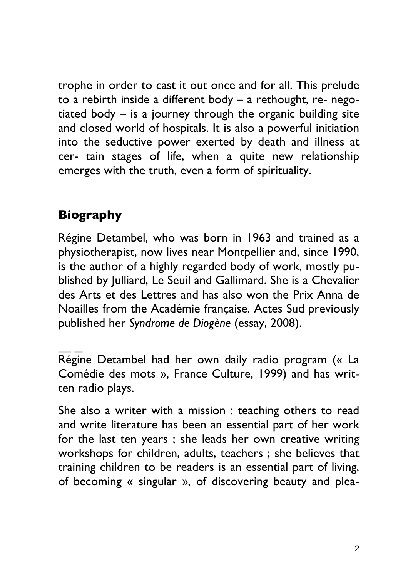trophe in order to cast it out once and for all. This prelude to a rebirth inside a different body – a rethought, re- negotiated body – is a journey through the organic building site and closed world of hospitals. It is also a powerful initiation into the seductive power exerted by death and illness at cer- tain stages of life, when a quite new relationship emerges with the truth, even a form of spirituality.

## **Biography**

Régine Detambel, who was born in 1963 and trained as a physiotherapist, now lives near Montpellier and, since 1990, is the author of a highly regarded body of work, mostly published by Julliard, Le Seuil and Gallimard. She is a Chevalier des Arts et des Lettres and has also won the Prix Anna de Noailles from the Académie française. Actes Sud previously published her *Syndrome de Diogène* (essay, 2008).

Régine Detambel had her own daily radio program (« La Comédie des mots », France Culture, 1999) and has written radio plays.

She also a writer with a mission : teaching others to read and write literature has been an essential part of her work for the last ten years ; she leads her own creative writing workshops for children, adults, teachers ; she believes that training children to be readers is an essential part of living, of becoming « singular », of discovering beauty and plea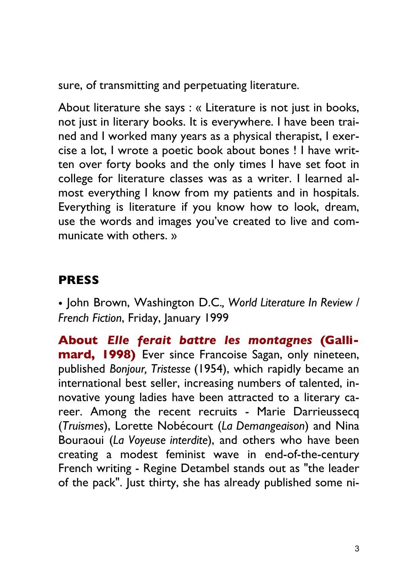sure, of transmitting and perpetuating literature.

About literature she says : « Literature is not just in books, not just in literary books. It is everywhere. I have been trained and I worked many years as a physical therapist, I exercise a lot, I wrote a poetic book about bones ! I have written over forty books and the only times I have set foot in college for literature classes was as a writer. I learned almost everything I know from my patients and in hospitals. Everything is literature if you know how to look, dream, use the words and images you've created to live and communicate with others. »

### **PRESS**

• John Brown, Washington D.C.*, World Literature In Review / French Fiction*, Friday, January 1999

**About** *Elle ferait battre les montagnes* **(Gallimard, 1998)** Ever since Francoise Sagan, only nineteen, published *Bonjour, Tristesse* (1954), which rapidly became an international best seller, increasing numbers of talented, innovative young ladies have been attracted to a literary career. Among the recent recruits - Marie Darrieussecq (*Truismes*), Lorette Nobécourt (*La Demangeaison*) and Nina Bouraoui (*La Voyeuse interdite*), and others who have been creating a modest feminist wave in end-of-the-century French writing - Regine Detambel stands out as "the leader of the pack". Just thirty, she has already published some ni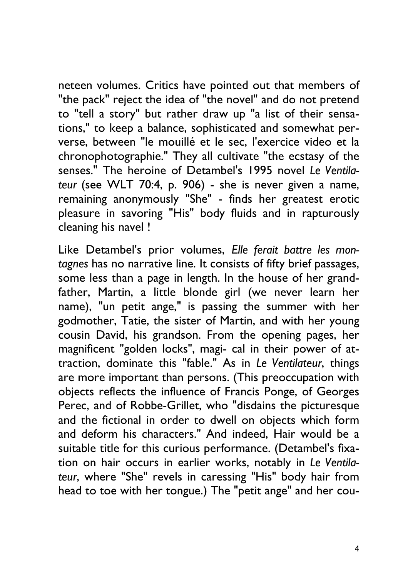neteen volumes. Critics have pointed out that members of "the pack" reject the idea of "the novel" and do not pretend to "tell a story" but rather draw up "a list of their sensations," to keep a balance, sophisticated and somewhat perverse, between "le mouillé et le sec, l'exercice video et la chronophotographie." They all cultivate "the ecstasy of the senses." The heroine of Detambel's 1995 novel *Le Ventilateur* (see WLT 70:4, p. 906) - she is never given a name, remaining anonymously "She" - finds her greatest erotic pleasure in savoring "His" body fluids and in rapturously cleaning his navel !

Like Detambel's prior volumes, *Elle ferait battre les montagnes* has no narrative line. It consists of fifty brief passages, some less than a page in length. In the house of her grandfather, Martin, a little blonde girl (we never learn her name), "un petit ange," is passing the summer with her godmother, Tatie, the sister of Martin, and with her young cousin David, his grandson. From the opening pages, her magnificent "golden locks", magi- cal in their power of attraction, dominate this "fable." As in *Le Ventilateur*, things are more important than persons. (This preoccupation with objects reflects the influence of Francis Ponge, of Georges Perec, and of Robbe-Grillet, who "disdains the picturesque and the fictional in order to dwell on objects which form and deform his characters." And indeed, Hair would be a suitable title for this curious performance. (Detambel's fixation on hair occurs in earlier works, notably in *Le Ventilateur*, where "She" revels in caressing "His" body hair from head to toe with her tongue.) The "petit ange" and her cou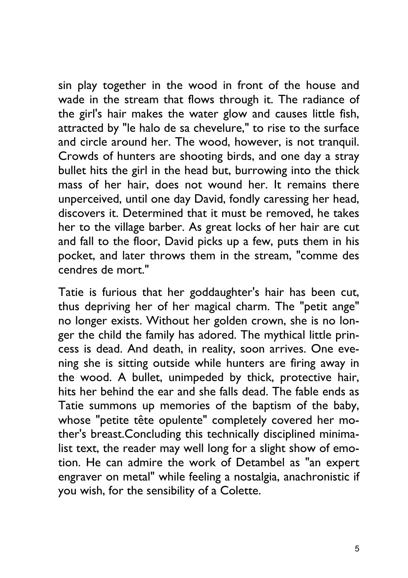sin play together in the wood in front of the house and wade in the stream that flows through it. The radiance of the girl's hair makes the water glow and causes little fish, attracted by "le halo de sa chevelure," to rise to the surface and circle around her. The wood, however, is not tranquil. Crowds of hunters are shooting birds, and one day a stray bullet hits the girl in the head but, burrowing into the thick mass of her hair, does not wound her. It remains there unperceived, until one day David, fondly caressing her head, discovers it. Determined that it must be removed, he takes her to the village barber. As great locks of her hair are cut and fall to the floor, David picks up a few, puts them in his pocket, and later throws them in the stream, "comme des cendres de mort."

Tatie is furious that her goddaughter's hair has been cut, thus depriving her of her magical charm. The "petit ange" no longer exists. Without her golden crown, she is no longer the child the family has adored. The mythical little princess is dead. And death, in reality, soon arrives. One evening she is sitting outside while hunters are firing away in the wood. A bullet, unimpeded by thick, protective hair, hits her behind the ear and she falls dead. The fable ends as Tatie summons up memories of the baptism of the baby, whose "petite tête opulente" completely covered her mother's breast.Concluding this technically disciplined minimalist text, the reader may well long for a slight show of emotion. He can admire the work of Detambel as "an expert engraver on metal" while feeling a nostalgia, anachronistic if you wish, for the sensibility of a Colette.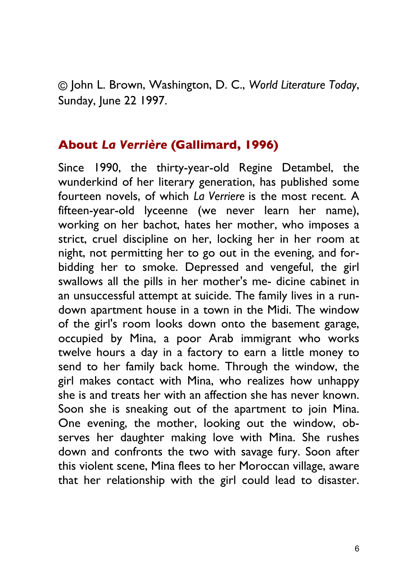© John L. Brown, Washington, D. C., *World Literature Today*, Sunday, June 22 1997.

#### **About** *La Verrière* **(Gallimard, 1996)**

Since 1990, the thirty-year-old Regine Detambel, the wunderkind of her literary generation, has published some fourteen novels, of which *La Verriere* is the most recent. A fifteen-year-old lyceenne (we never learn her name), working on her bachot, hates her mother, who imposes a strict, cruel discipline on her, locking her in her room at night, not permitting her to go out in the evening, and forbidding her to smoke. Depressed and vengeful, the girl swallows all the pills in her mother's me- dicine cabinet in an unsuccessful attempt at suicide. The family lives in a rundown apartment house in a town in the Midi. The window of the girl's room looks down onto the basement garage, occupied by Mina, a poor Arab immigrant who works twelve hours a day in a factory to earn a little money to send to her family back home. Through the window, the girl makes contact with Mina, who realizes how unhappy she is and treats her with an affection she has never known. Soon she is sneaking out of the apartment to join Mina. One evening, the mother, looking out the window, observes her daughter making love with Mina. She rushes down and confronts the two with savage fury. Soon after this violent scene, Mina flees to her Moroccan village, aware that her relationship with the girl could lead to disaster.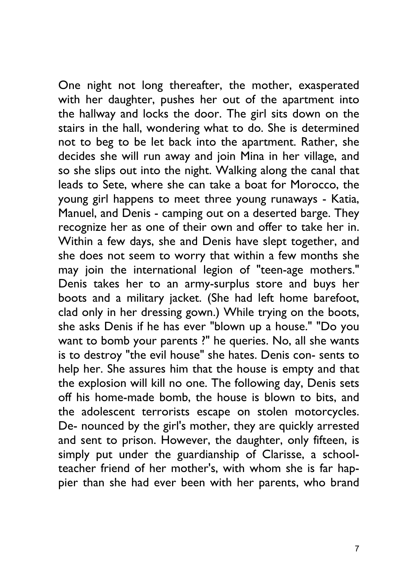One night not long thereafter, the mother, exasperated with her daughter, pushes her out of the apartment into the hallway and locks the door. The girl sits down on the stairs in the hall, wondering what to do. She is determined not to beg to be let back into the apartment. Rather, she decides she will run away and join Mina in her village, and so she slips out into the night. Walking along the canal that leads to Sete, where she can take a boat for Morocco, the young girl happens to meet three young runaways - Katia, Manuel, and Denis - camping out on a deserted barge. They recognize her as one of their own and offer to take her in. Within a few days, she and Denis have slept together, and she does not seem to worry that within a few months she may join the international legion of "teen-age mothers." Denis takes her to an army-surplus store and buys her boots and a military jacket. (She had left home barefoot, clad only in her dressing gown.) While trying on the boots, she asks Denis if he has ever "blown up a house." "Do you want to bomb your parents ?" he queries. No, all she wants is to destroy "the evil house" she hates. Denis con- sents to help her. She assures him that the house is empty and that the explosion will kill no one. The following day, Denis sets off his home-made bomb, the house is blown to bits, and the adolescent terrorists escape on stolen motorcycles. De- nounced by the girl's mother, they are quickly arrested and sent to prison. However, the daughter, only fifteen, is simply put under the guardianship of Clarisse, a schoolteacher friend of her mother's, with whom she is far happier than she had ever been with her parents, who brand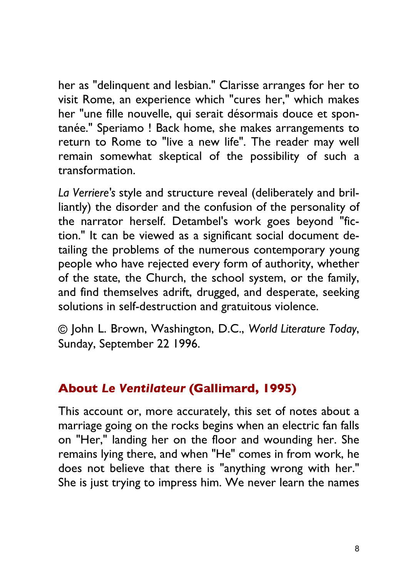her as "delinquent and lesbian." Clarisse arranges for her to visit Rome, an experience which "cures her," which makes her "une fille nouvelle, qui serait désormais douce et spontanée." Speriamo ! Back home, she makes arrangements to return to Rome to "live a new life". The reader may well remain somewhat skeptical of the possibility of such a transformation.

*La Verriere's* style and structure reveal (deliberately and brilliantly) the disorder and the confusion of the personality of the narrator herself. Detambel's work goes beyond "fiction." It can be viewed as a significant social document detailing the problems of the numerous contemporary young people who have rejected every form of authority, whether of the state, the Church, the school system, or the family, and find themselves adrift, drugged, and desperate, seeking solutions in self-destruction and gratuitous violence.

© John L. Brown, Washington, D.C., *World Literature Today*, Sunday, September 22 1996.

#### **About** *Le Ventilateur* **(Gallimard, 1995)**

This account or, more accurately, this set of notes about a marriage going on the rocks begins when an electric fan falls on "Her," landing her on the floor and wounding her. She remains lying there, and when "He" comes in from work, he does not believe that there is "anything wrong with her." She is just trying to impress him. We never learn the names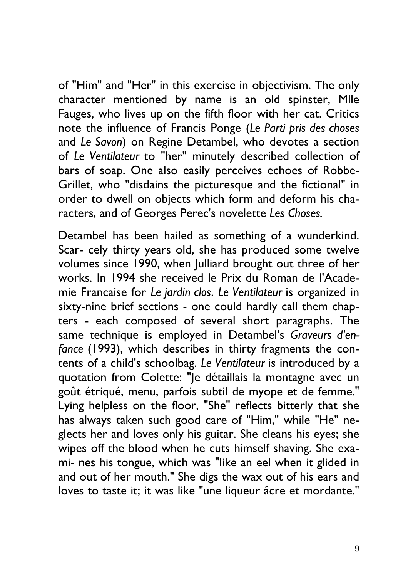of "Him" and "Her" in this exercise in objectivism. The only character mentioned by name is an old spinster, Mlle Fauges, who lives up on the fifth floor with her cat. Critics note the influence of Francis Ponge (*Le Parti pris des choses*  and *Le Savon*) on Regine Detambel, who devotes a section of *Le Ventilateur* to "her" minutely described collection of bars of soap. One also easily perceives echoes of Robbe-Grillet, who "disdains the picturesque and the fictional" in order to dwell on objects which form and deform his characters, and of Georges Perec's novelette *Les Choses.*

Detambel has been hailed as something of a wunderkind. Scar- cely thirty years old, she has produced some twelve volumes since 1990, when Julliard brought out three of her works. In 1994 she received le Prix du Roman de l'Academie Francaise for *Le jardin clos*. *Le Ventilateur* is organized in sixty-nine brief sections - one could hardly call them chapters - each composed of several short paragraphs. The same technique is employed in Detambel's *Graveurs d'enfance* (1993), which describes in thirty fragments the contents of a child's schoolbag. *Le Ventilateur* is introduced by a quotation from Colette: "Je détaillais la montagne avec un goût étriqué, menu, parfois subtil de myope et de femme." Lying helpless on the floor, "She" reflects bitterly that she has always taken such good care of "Him," while "He" neglects her and loves only his guitar. She cleans his eyes; she wipes off the blood when he cuts himself shaving. She exami- nes his tongue, which was "like an eel when it glided in and out of her mouth." She digs the wax out of his ears and loves to taste it; it was like "une liqueur âcre et mordante."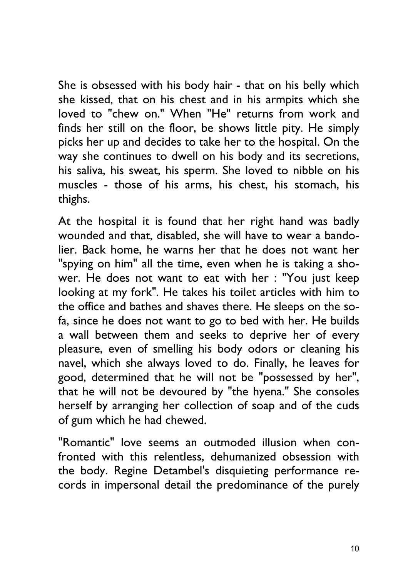She is obsessed with his body hair - that on his belly which she kissed, that on his chest and in his armpits which she loved to "chew on." When "He" returns from work and finds her still on the floor, be shows little pity. He simply picks her up and decides to take her to the hospital. On the way she continues to dwell on his body and its secretions, his saliva, his sweat, his sperm. She loved to nibble on his muscles - those of his arms, his chest, his stomach, his thighs.

At the hospital it is found that her right hand was badly wounded and that, disabled, she will have to wear a bandolier. Back home, he warns her that he does not want her "spying on him" all the time, even when he is taking a shower. He does not want to eat with her : "You just keep looking at my fork". He takes his toilet articles with him to the office and bathes and shaves there. He sleeps on the sofa, since he does not want to go to bed with her. He builds a wall between them and seeks to deprive her of every pleasure, even of smelling his body odors or cleaning his navel, which she always loved to do. Finally, he leaves for good, determined that he will not be "possessed by her", that he will not be devoured by "the hyena." She consoles herself by arranging her collection of soap and of the cuds of gum which he had chewed.

"Romantic" love seems an outmoded illusion when confronted with this relentless, dehumanized obsession with the body. Regine Detambel's disquieting performance records in impersonal detail the predominance of the purely